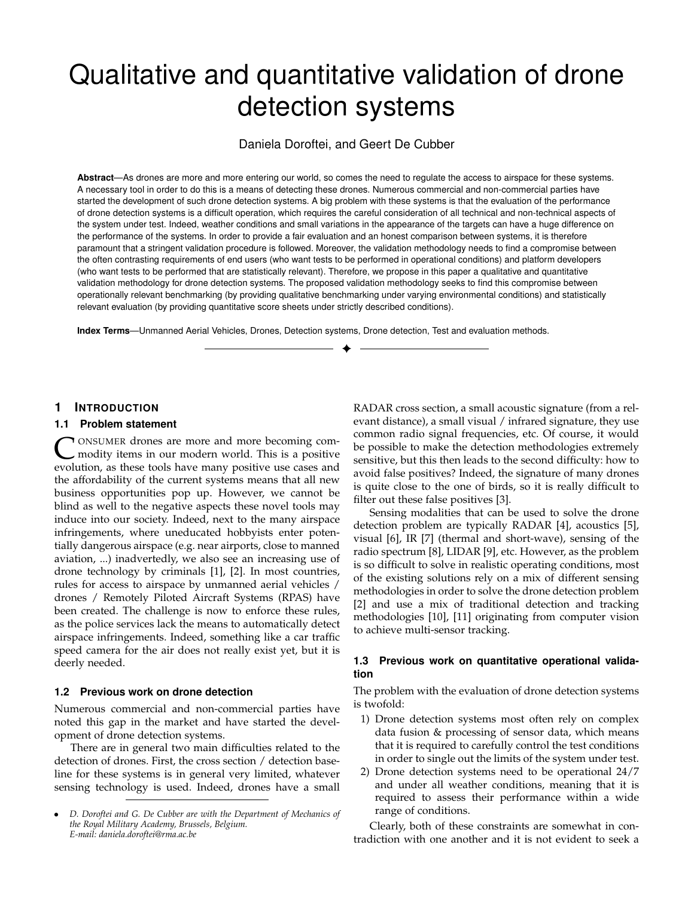# Qualitative and quantitative validation of drone detection systems

Daniela Doroftei, and Geert De Cubber

**Abstract**—As drones are more and more entering our world, so comes the need to regulate the access to airspace for these systems. A necessary tool in order to do this is a means of detecting these drones. Numerous commercial and non-commercial parties have started the development of such drone detection systems. A big problem with these systems is that the evaluation of the performance of drone detection systems is a difficult operation, which requires the careful consideration of all technical and non-technical aspects of the system under test. Indeed, weather conditions and small variations in the appearance of the targets can have a huge difference on the performance of the systems. In order to provide a fair evaluation and an honest comparison between systems, it is therefore paramount that a stringent validation procedure is followed. Moreover, the validation methodology needs to find a compromise between the often contrasting requirements of end users (who want tests to be performed in operational conditions) and platform developers (who want tests to be performed that are statistically relevant). Therefore, we propose in this paper a qualitative and quantitative validation methodology for drone detection systems. The proposed validation methodology seeks to find this compromise between operationally relevant benchmarking (by providing qualitative benchmarking under varying environmental conditions) and statistically relevant evaluation (by providing quantitative score sheets under strictly described conditions).

✦

**Index Terms**—Unmanned Aerial Vehicles, Drones, Detection systems, Drone detection, Test and evaluation methods.

## **1 INTRODUCTION**

#### **1.1 Problem statement**

C ONSUMER drones are more and more becoming commodity items in our modern world. This is a positive evolution, as these tools have many positive use cases and ONSUMER drones are more and more becoming commodity items in our modern world. This is a positive the affordability of the current systems means that all new business opportunities pop up. However, we cannot be blind as well to the negative aspects these novel tools may induce into our society. Indeed, next to the many airspace infringements, where uneducated hobbyists enter potentially dangerous airspace (e.g. near airports, close to manned aviation, ...) inadvertedly, we also see an increasing use of drone technology by criminals [1], [2]. In most countries, rules for access to airspace by unmanned aerial vehicles / drones / Remotely Piloted Aircraft Systems (RPAS) have been created. The challenge is now to enforce these rules, as the police services lack the means to automatically detect airspace infringements. Indeed, something like a car traffic speed camera for the air does not really exist yet, but it is deerly needed.

## **1.2 Previous work on drone detection**

Numerous commercial and non-commercial parties have noted this gap in the market and have started the development of drone detection systems.

There are in general two main difficulties related to the detection of drones. First, the cross section / detection baseline for these systems is in general very limited, whatever sensing technology is used. Indeed, drones have a small RADAR cross section, a small acoustic signature (from a relevant distance), a small visual / infrared signature, they use common radio signal frequencies, etc. Of course, it would be possible to make the detection methodologies extremely sensitive, but this then leads to the second difficulty: how to avoid false positives? Indeed, the signature of many drones is quite close to the one of birds, so it is really difficult to filter out these false positives [3].

Sensing modalities that can be used to solve the drone detection problem are typically RADAR [4], acoustics [5], visual [6], IR [7] (thermal and short-wave), sensing of the radio spectrum [8], LIDAR [9], etc. However, as the problem is so difficult to solve in realistic operating conditions, most of the existing solutions rely on a mix of different sensing methodologies in order to solve the drone detection problem [2] and use a mix of traditional detection and tracking methodologies [10], [11] originating from computer vision to achieve multi-sensor tracking.

### **1.3 Previous work on quantitative operational validation**

The problem with the evaluation of drone detection systems is twofold:

- 1) Drone detection systems most often rely on complex data fusion & processing of sensor data, which means that it is required to carefully control the test conditions in order to single out the limits of the system under test.
- 2) Drone detection systems need to be operational 24/7 and under all weather conditions, meaning that it is required to assess their performance within a wide range of conditions.

Clearly, both of these constraints are somewhat in contradiction with one another and it is not evident to seek a

<sup>•</sup> *D. Doroftei and G. De Cubber are with the Department of Mechanics of the Royal Military Academy, Brussels, Belgium. E-mail: daniela.doroftei@rma.ac.be*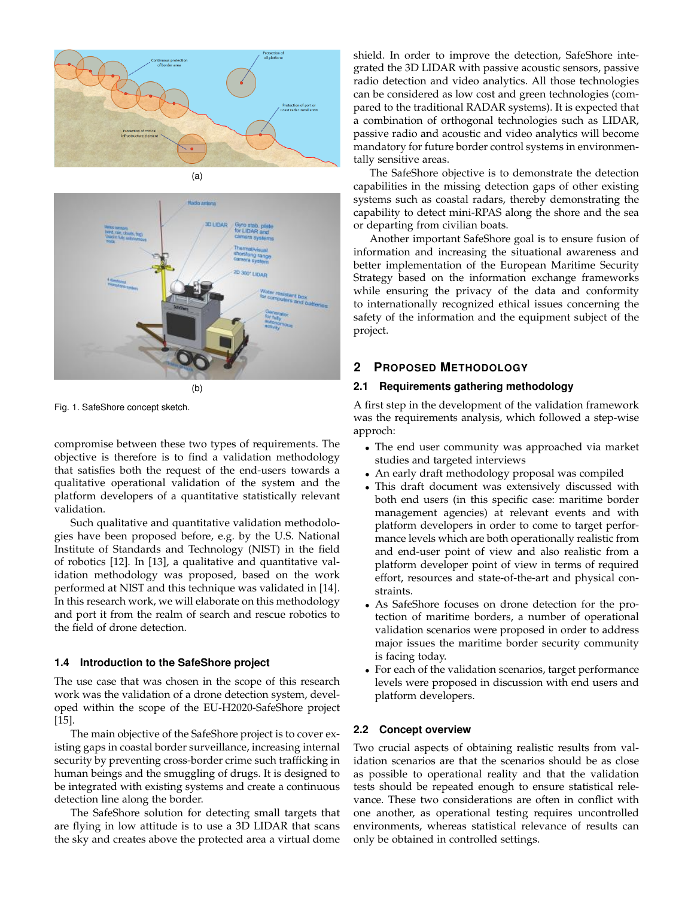



Fig. 1. SafeShore concept sketch.

compromise between these two types of requirements. The objective is therefore is to find a validation methodology that satisfies both the request of the end-users towards a qualitative operational validation of the system and the platform developers of a quantitative statistically relevant validation.

Such qualitative and quantitative validation methodologies have been proposed before, e.g. by the U.S. National Institute of Standards and Technology (NIST) in the field of robotics [12]. In [13], a qualitative and quantitative validation methodology was proposed, based on the work performed at NIST and this technique was validated in [14]. In this research work, we will elaborate on this methodology and port it from the realm of search and rescue robotics to the field of drone detection.

### **1.4 Introduction to the SafeShore project**

The use case that was chosen in the scope of this research work was the validation of a drone detection system, developed within the scope of the EU-H2020-SafeShore project [15].

The main objective of the SafeShore project is to cover existing gaps in coastal border surveillance, increasing internal security by preventing cross-border crime such trafficking in human beings and the smuggling of drugs. It is designed to be integrated with existing systems and create a continuous detection line along the border.

The SafeShore solution for detecting small targets that are flying in low attitude is to use a 3D LIDAR that scans the sky and creates above the protected area a virtual dome

shield. In order to improve the detection, SafeShore integrated the 3D LIDAR with passive acoustic sensors, passive radio detection and video analytics. All those technologies can be considered as low cost and green technologies (compared to the traditional RADAR systems). It is expected that a combination of orthogonal technologies such as LIDAR, passive radio and acoustic and video analytics will become mandatory for future border control systems in environmentally sensitive areas.

The SafeShore objective is to demonstrate the detection capabilities in the missing detection gaps of other existing systems such as coastal radars, thereby demonstrating the capability to detect mini-RPAS along the shore and the sea or departing from civilian boats.

Another important SafeShore goal is to ensure fusion of information and increasing the situational awareness and better implementation of the European Maritime Security Strategy based on the information exchange frameworks while ensuring the privacy of the data and conformity to internationally recognized ethical issues concerning the safety of the information and the equipment subject of the project.

# **2 PROPOSED METHODOLOGY**

## **2.1 Requirements gathering methodology**

A first step in the development of the validation framework was the requirements analysis, which followed a step-wise approch:

- The end user community was approached via market studies and targeted interviews
- An early draft methodology proposal was compiled
- This draft document was extensively discussed with both end users (in this specific case: maritime border management agencies) at relevant events and with platform developers in order to come to target performance levels which are both operationally realistic from and end-user point of view and also realistic from a platform developer point of view in terms of required effort, resources and state-of-the-art and physical constraints.
- As SafeShore focuses on drone detection for the protection of maritime borders, a number of operational validation scenarios were proposed in order to address major issues the maritime border security community is facing today.
- For each of the validation scenarios, target performance levels were proposed in discussion with end users and platform developers.

## **2.2 Concept overview**

Two crucial aspects of obtaining realistic results from validation scenarios are that the scenarios should be as close as possible to operational reality and that the validation tests should be repeated enough to ensure statistical relevance. These two considerations are often in conflict with one another, as operational testing requires uncontrolled environments, whereas statistical relevance of results can only be obtained in controlled settings.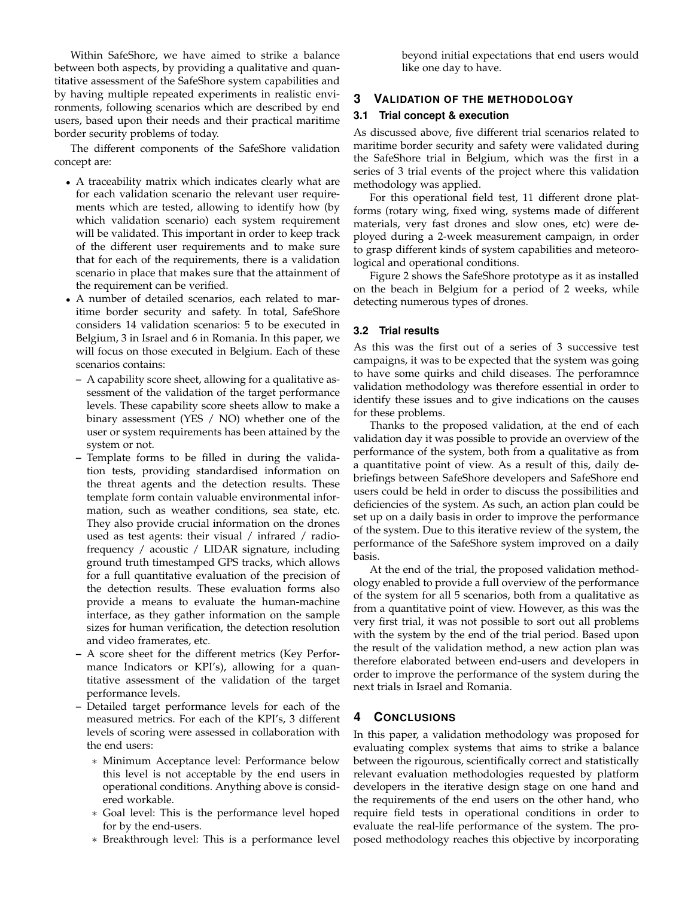Within SafeShore, we have aimed to strike a balance between both aspects, by providing a qualitative and quantitative assessment of the SafeShore system capabilities and by having multiple repeated experiments in realistic environments, following scenarios which are described by end users, based upon their needs and their practical maritime border security problems of today.

The different components of the SafeShore validation concept are:

- A traceability matrix which indicates clearly what are for each validation scenario the relevant user requirements which are tested, allowing to identify how (by which validation scenario) each system requirement will be validated. This important in order to keep track of the different user requirements and to make sure that for each of the requirements, there is a validation scenario in place that makes sure that the attainment of the requirement can be verified.
- A number of detailed scenarios, each related to maritime border security and safety. In total, SafeShore considers 14 validation scenarios: 5 to be executed in Belgium, 3 in Israel and 6 in Romania. In this paper, we will focus on those executed in Belgium. Each of these scenarios contains:
	- **–** A capability score sheet, allowing for a qualitative assessment of the validation of the target performance levels. These capability score sheets allow to make a binary assessment (YES / NO) whether one of the user or system requirements has been attained by the system or not.
	- **–** Template forms to be filled in during the validation tests, providing standardised information on the threat agents and the detection results. These template form contain valuable environmental information, such as weather conditions, sea state, etc. They also provide crucial information on the drones used as test agents: their visual / infrared / radiofrequency / acoustic / LIDAR signature, including ground truth timestamped GPS tracks, which allows for a full quantitative evaluation of the precision of the detection results. These evaluation forms also provide a means to evaluate the human-machine interface, as they gather information on the sample sizes for human verification, the detection resolution and video framerates, etc.
	- **–** A score sheet for the different metrics (Key Performance Indicators or KPI's), allowing for a quantitative assessment of the validation of the target performance levels.
	- **–** Detailed target performance levels for each of the measured metrics. For each of the KPI's, 3 different levels of scoring were assessed in collaboration with the end users:
		- ∗ Minimum Acceptance level: Performance below this level is not acceptable by the end users in operational conditions. Anything above is considered workable.
		- ∗ Goal level: This is the performance level hoped for by the end-users.
		- ∗ Breakthrough level: This is a performance level

beyond initial expectations that end users would like one day to have.

## **3 VALIDATION OF THE METHODOLOGY**

#### **3.1 Trial concept & execution**

As discussed above, five different trial scenarios related to maritime border security and safety were validated during the SafeShore trial in Belgium, which was the first in a series of 3 trial events of the project where this validation methodology was applied.

For this operational field test, 11 different drone platforms (rotary wing, fixed wing, systems made of different materials, very fast drones and slow ones, etc) were deployed during a 2-week measurement campaign, in order to grasp different kinds of system capabilities and meteorological and operational conditions.

Figure 2 shows the SafeShore prototype as it as installed on the beach in Belgium for a period of 2 weeks, while detecting numerous types of drones.

#### **3.2 Trial results**

As this was the first out of a series of 3 successive test campaigns, it was to be expected that the system was going to have some quirks and child diseases. The perforamnce validation methodology was therefore essential in order to identify these issues and to give indications on the causes for these problems.

Thanks to the proposed validation, at the end of each validation day it was possible to provide an overview of the performance of the system, both from a qualitative as from a quantitative point of view. As a result of this, daily debriefings between SafeShore developers and SafeShore end users could be held in order to discuss the possibilities and deficiencies of the system. As such, an action plan could be set up on a daily basis in order to improve the performance of the system. Due to this iterative review of the system, the performance of the SafeShore system improved on a daily basis.

At the end of the trial, the proposed validation methodology enabled to provide a full overview of the performance of the system for all 5 scenarios, both from a qualitative as from a quantitative point of view. However, as this was the very first trial, it was not possible to sort out all problems with the system by the end of the trial period. Based upon the result of the validation method, a new action plan was therefore elaborated between end-users and developers in order to improve the performance of the system during the next trials in Israel and Romania.

## **4 CONCLUSIONS**

In this paper, a validation methodology was proposed for evaluating complex systems that aims to strike a balance between the rigourous, scientifically correct and statistically relevant evaluation methodologies requested by platform developers in the iterative design stage on one hand and the requirements of the end users on the other hand, who require field tests in operational conditions in order to evaluate the real-life performance of the system. The proposed methodology reaches this objective by incorporating